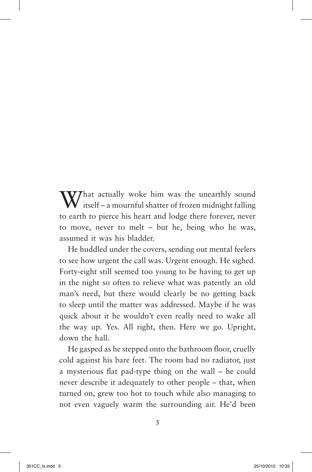What actually woke him was the unearthly sound itself – a mournful shatter of frozen midnight falling to earth to pierce his heart and lodge there forever, never to move, never to melt – but he, being who he was, assumed it was his bladder.

He huddled under the covers, sending out mental feelers to see how urgent the call was. Urgent enough. He sighed. Forty-eight still seemed too young to be having to get up in the night so often to relieve what was patently an old man's need, but there would clearly be no getting back to sleep until the matter was addressed. Maybe if he was quick about it he wouldn't even really need to wake all the way up. Yes. All right, then. Here we go. Upright, down the hall.

He gasped as he stepped onto the bathroom floor, cruelly cold against his bare feet. The room had no radiator, just a mysterious flat pad-type thing on the wall – he could never describe it adequately to other people – that, when turned on, grew too hot to touch while also managing to not even vaguely warm the surrounding air. He'd been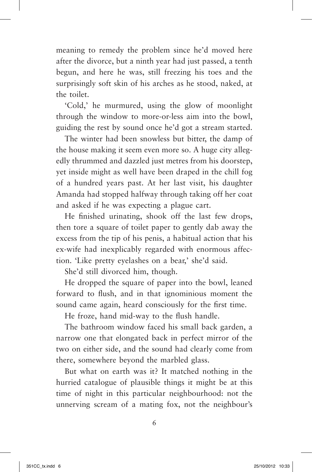meaning to remedy the problem since he'd moved here after the divorce, but a ninth year had just passed, a tenth begun, and here he was, still freezing his toes and the surprisingly soft skin of his arches as he stood, naked, at the toilet.

'Cold,' he murmured, using the glow of moonlight through the window to more-or-less aim into the bowl, guiding the rest by sound once he'd got a stream started.

The winter had been snowless but bitter, the damp of the house making it seem even more so. A huge city allegedly thrummed and dazzled just metres from his doorstep, yet inside might as well have been draped in the chill fog of a hundred years past. At her last visit, his daughter Amanda had stopped halfway through taking off her coat and asked if he was expecting a plague cart.

He finished urinating, shook off the last few drops, then tore a square of toilet paper to gently dab away the excess from the tip of his penis, a habitual action that his ex-wife had inexplicably regarded with enormous affection. 'Like pretty eyelashes on a bear,' she'd said.

She'd still divorced him, though.

He dropped the square of paper into the bowl, leaned forward to flush, and in that ignominious moment the sound came again, heard consciously for the first time.

He froze, hand mid-way to the flush handle.

The bathroom window faced his small back garden, a narrow one that elongated back in perfect mirror of the two on either side, and the sound had clearly come from there, somewhere beyond the marbled glass.

But what on earth was it? It matched nothing in the hurried catalogue of plausible things it might be at this time of night in this particular neighbourhood: not the unnerving scream of a mating fox, not the neighbour's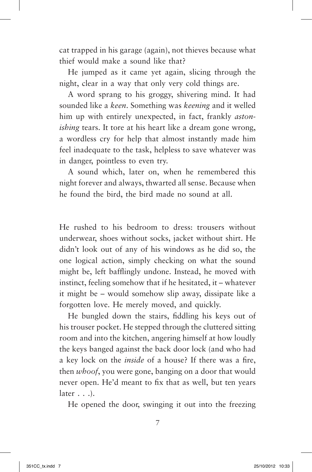cat trapped in his garage (again), not thieves because what thief would make a sound like that?

He jumped as it came yet again, slicing through the night, clear in a way that only very cold things are.

A word sprang to his groggy, shivering mind. It had sounded like a *keen*. Something was *keening* and it welled him up with entirely unexpected, in fact, frankly *astonishing* tears. It tore at his heart like a dream gone wrong, a wordless cry for help that almost instantly made him feel inadequate to the task, helpless to save whatever was in danger, pointless to even try.

A sound which, later on, when he remembered this night forever and always, thwarted all sense. Because when he found the bird, the bird made no sound at all.

He rushed to his bedroom to dress: trousers without underwear, shoes without socks, jacket without shirt. He didn't look out of any of his windows as he did so, the one logical action, simply checking on what the sound might be, left bafflingly undone. Instead, he moved with instinct, feeling somehow that if he hesitated, it – whatever it might be – would somehow slip away, dissipate like a forgotten love. He merely moved, and quickly.

He bungled down the stairs, fiddling his keys out of his trouser pocket. He stepped through the cluttered sitting room and into the kitchen, angering himself at how loudly the keys banged against the back door lock (and who had a key lock on the *inside* of a house? If there was a fire, then *whoof*, you were gone, banging on a door that would never open. He'd meant to fix that as well, but ten years later . . .).

He opened the door, swinging it out into the freezing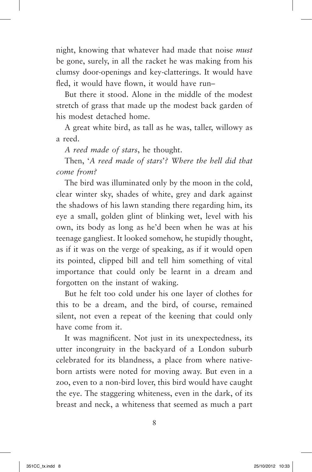night, knowing that whatever had made that noise *must*  be gone, surely, in all the racket he was making from his clumsy door-openings and key-clatterings. It would have fled, it would have flown, it would have run–

But there it stood. Alone in the middle of the modest stretch of grass that made up the modest back garden of his modest detached home.

A great white bird, as tall as he was, taller, willowy as a reed.

*A reed made of stars*, he thought.

Then, '*A reed made of stars*'*? Where the hell did that come from?* 

The bird was illuminated only by the moon in the cold, clear winter sky, shades of white, grey and dark against the shadows of his lawn standing there regarding him, its eye a small, golden glint of blinking wet, level with his own, its body as long as he'd been when he was at his teenage gangliest. It looked somehow, he stupidly thought, as if it was on the verge of speaking, as if it would open its pointed, clipped bill and tell him something of vital importance that could only be learnt in a dream and forgotten on the instant of waking.

But he felt too cold under his one layer of clothes for this to be a dream, and the bird, of course, remained silent, not even a repeat of the keening that could only have come from it.

It was magnificent. Not just in its unexpectedness, its utter incongruity in the backyard of a London suburb celebrated for its blandness, a place from where nativeborn artists were noted for moving away. But even in a zoo, even to a non-bird lover, this bird would have caught the eye. The staggering whiteness, even in the dark, of its breast and neck, a whiteness that seemed as much a part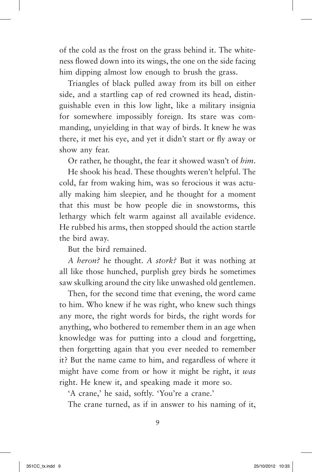of the cold as the frost on the grass behind it. The whiteness flowed down into its wings, the one on the side facing him dipping almost low enough to brush the grass.

Triangles of black pulled away from its bill on either side, and a startling cap of red crowned its head, distinguishable even in this low light, like a military insignia for somewhere impossibly foreign. Its stare was commanding, unyielding in that way of birds. It knew he was there, it met his eye, and yet it didn't start or fly away or show any fear.

Or rather, he thought, the fear it showed wasn't of *him*.

He shook his head. These thoughts weren't helpful. The cold, far from waking him, was so ferocious it was actually making him sleepier, and he thought for a moment that this must be how people die in snowstorms, this lethargy which felt warm against all available evidence. He rubbed his arms, then stopped should the action startle the bird away.

But the bird remained.

*A heron?* he thought. *A stork?* But it was nothing at all like those hunched, purplish grey birds he sometimes saw skulking around the city like unwashed old gentlemen.

Then, for the second time that evening, the word came to him. Who knew if he was right, who knew such things any more, the right words for birds, the right words for anything, who bothered to remember them in an age when knowledge was for putting into a cloud and forgetting, then forgetting again that you ever needed to remember it? But the name came to him, and regardless of where it might have come from or how it might be right, it *was* right. He knew it, and speaking made it more so.

'A crane,' he said, softly. 'You're a crane.'

The crane turned, as if in answer to his naming of it,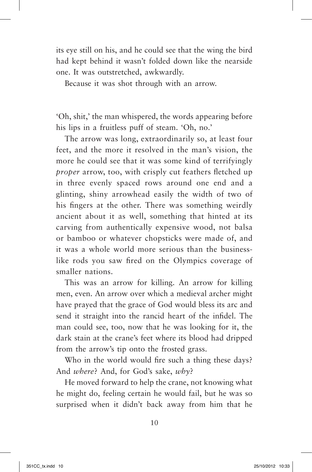its eye still on his, and he could see that the wing the bird had kept behind it wasn't folded down like the nearside one. It was outstretched, awkwardly.

Because it was shot through with an arrow.

'Oh, shit,' the man whispered, the words appearing before his lips in a fruitless puff of steam. 'Oh, no.'

The arrow was long, extraordinarily so, at least four feet, and the more it resolved in the man's vision, the more he could see that it was some kind of terrifyingly *proper* arrow, too, with crisply cut feathers fletched up in three evenly spaced rows around one end and a glinting, shiny arrowhead easily the width of two of his fingers at the other. There was something weirdly ancient about it as well, something that hinted at its carving from authentically expensive wood, not balsa or bamboo or whatever chopsticks were made of, and it was a whole world more serious than the businesslike rods you saw fired on the Olympics coverage of smaller nations.

This was an arrow for killing. An arrow for killing men, even. An arrow over which a medieval archer might have prayed that the grace of God would bless its arc and send it straight into the rancid heart of the infidel. The man could see, too, now that he was looking for it, the dark stain at the crane's feet where its blood had dripped from the arrow's tip onto the frosted grass.

Who in the world would fire such a thing these days? And *where*? And, for God's sake, *why*?

He moved forward to help the crane, not knowing what he might do, feeling certain he would fail, but he was so surprised when it didn't back away from him that he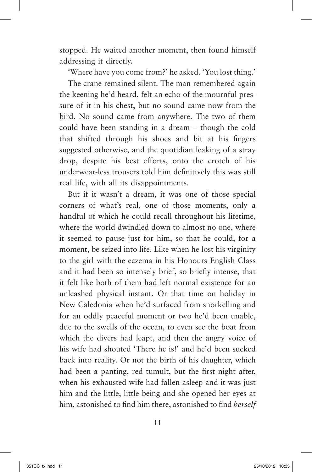stopped. He waited another moment, then found himself addressing it directly.

'Where have you come from?' he asked. 'You lost thing.' The crane remained silent. The man remembered again the keening he'd heard, felt an echo of the mournful pressure of it in his chest, but no sound came now from the bird. No sound came from anywhere. The two of them could have been standing in a dream – though the cold that shifted through his shoes and bit at his fingers suggested otherwise, and the quotidian leaking of a stray drop, despite his best efforts, onto the crotch of his underwear-less trousers told him definitively this was still real life, with all its disappointments.

But if it wasn't a dream, it was one of those special corners of what's real, one of those moments, only a handful of which he could recall throughout his lifetime, where the world dwindled down to almost no one, where it seemed to pause just for him, so that he could, for a moment, be seized into life. Like when he lost his virginity to the girl with the eczema in his Honours English Class and it had been so intensely brief, so briefly intense, that it felt like both of them had left normal existence for an unleashed physical instant. Or that time on holiday in New Caledonia when he'd surfaced from snorkelling and for an oddly peaceful moment or two he'd been unable, due to the swells of the ocean, to even see the boat from which the divers had leapt, and then the angry voice of his wife had shouted 'There he is!' and he'd been sucked back into reality. Or not the birth of his daughter, which had been a panting, red tumult, but the first night after, when his exhausted wife had fallen asleep and it was just him and the little, little being and she opened her eyes at him, astonished to find him there, astonished to find *herself*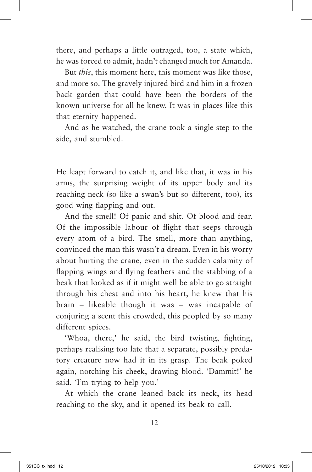there, and perhaps a little outraged, too, a state which, he was forced to admit, hadn't changed much for Amanda.

But *this*, this moment here, this moment was like those, and more so. The gravely injured bird and him in a frozen back garden that could have been the borders of the known universe for all he knew. It was in places like this that eternity happened.

And as he watched, the crane took a single step to the side, and stumbled.

He leapt forward to catch it, and like that, it was in his arms, the surprising weight of its upper body and its reaching neck (so like a swan's but so different, too), its good wing flapping and out.

And the smell! Of panic and shit. Of blood and fear. Of the impossible labour of flight that seeps through every atom of a bird. The smell, more than anything, convinced the man this wasn't a dream. Even in his worry about hurting the crane, even in the sudden calamity of flapping wings and flying feathers and the stabbing of a beak that looked as if it might well be able to go straight through his chest and into his heart, he knew that his brain – likeable though it was – was incapable of conjuring a scent this crowded, this peopled by so many different spices.

'Whoa, there,' he said, the bird twisting, fighting, perhaps realising too late that a separate, possibly predatory creature now had it in its grasp. The beak poked again, notching his cheek, drawing blood. 'Dammit!' he said. T'm trying to help you.'

At which the crane leaned back its neck, its head reaching to the sky, and it opened its beak to call.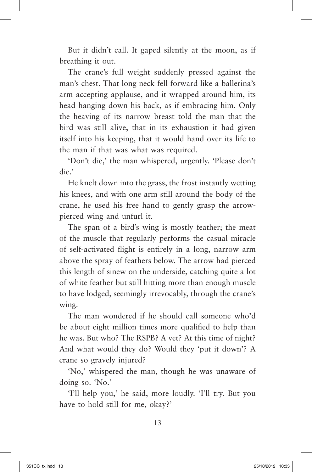But it didn't call. It gaped silently at the moon, as if breathing it out.

The crane's full weight suddenly pressed against the man's chest. That long neck fell forward like a ballerina's arm accepting applause, and it wrapped around him, its head hanging down his back, as if embracing him. Only the heaving of its narrow breast told the man that the bird was still alive, that in its exhaustion it had given itself into his keeping, that it would hand over its life to the man if that was what was required.

'Don't die,' the man whispered, urgently. 'Please don't die.'

He knelt down into the grass, the frost instantly wetting his knees, and with one arm still around the body of the crane, he used his free hand to gently grasp the arrowpierced wing and unfurl it.

The span of a bird's wing is mostly feather; the meat of the muscle that regularly performs the casual miracle of self-activated flight is entirely in a long, narrow arm above the spray of feathers below. The arrow had pierced this length of sinew on the underside, catching quite a lot of white feather but still hitting more than enough muscle to have lodged, seemingly irrevocably, through the crane's wing.

The man wondered if he should call someone who'd be about eight million times more qualified to help than he was. But who? The RSPB? A vet? At this time of night? And what would they do? Would they 'put it down'? A crane so gravely injured?

'No,' whispered the man, though he was unaware of doing so. 'No.'

'I'll help you,' he said, more loudly. 'I'll try. But you have to hold still for me, okay?'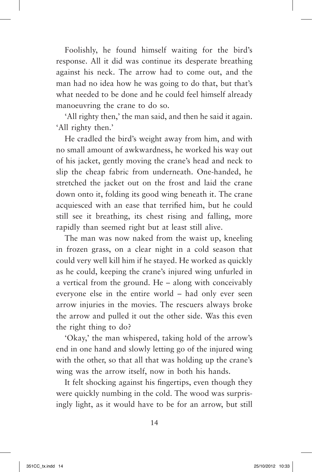Foolishly, he found himself waiting for the bird's response. All it did was continue its desperate breathing against his neck. The arrow had to come out, and the man had no idea how he was going to do that, but that's what needed to be done and he could feel himself already manoeuvring the crane to do so.

'All righty then,' the man said, and then he said it again. 'All righty then.'

He cradled the bird's weight away from him, and with no small amount of awkwardness, he worked his way out of his jacket, gently moving the crane's head and neck to slip the cheap fabric from underneath. One-handed, he stretched the jacket out on the frost and laid the crane down onto it, folding its good wing beneath it. The crane acquiesced with an ease that terrified him, but he could still see it breathing, its chest rising and falling, more rapidly than seemed right but at least still alive.

The man was now naked from the waist up, kneeling in frozen grass, on a clear night in a cold season that could very well kill him if he stayed. He worked as quickly as he could, keeping the crane's injured wing unfurled in a vertical from the ground. He – along with conceivably everyone else in the entire world – had only ever seen arrow injuries in the movies. The rescuers always broke the arrow and pulled it out the other side. Was this even the right thing to do?

'Okay,' the man whispered, taking hold of the arrow's end in one hand and slowly letting go of the injured wing with the other, so that all that was holding up the crane's wing was the arrow itself, now in both his hands.

It felt shocking against his fingertips, even though they were quickly numbing in the cold. The wood was surprisingly light, as it would have to be for an arrow, but still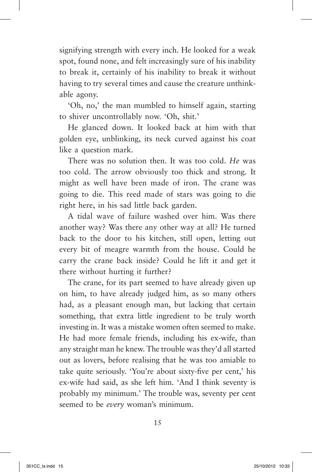signifying strength with every inch. He looked for a weak spot, found none, and felt increasingly sure of his inability to break it, certainly of his inability to break it without having to try several times and cause the creature unthinkable agony.

'Oh, no,' the man mumbled to himself again, starting to shiver uncontrollably now. 'Oh, shit.'

He glanced down. It looked back at him with that golden eye, unblinking, its neck curved against his coat like a question mark.

There was no solution then. It was too cold. *He* was too cold. The arrow obviously too thick and strong. It might as well have been made of iron. The crane was going to die. This reed made of stars was going to die right here, in his sad little back garden.

A tidal wave of failure washed over him. Was there another way? Was there any other way at all? He turned back to the door to his kitchen, still open, letting out every bit of meagre warmth from the house. Could he carry the crane back inside? Could he lift it and get it there without hurting it further?

The crane, for its part seemed to have already given up on him, to have already judged him, as so many others had, as a pleasant enough man, but lacking that certain something, that extra little ingredient to be truly worth investing in. It was a mistake women often seemed to make. He had more female friends, including his ex-wife, than any straight man he knew. The trouble was they'd all started out as lovers, before realising that he was too amiable to take quite seriously. 'You're about sixty-five per cent,' his ex-wife had said, as she left him. 'And I think seventy is probably my minimum.' The trouble was, seventy per cent seemed to be *every* woman's minimum.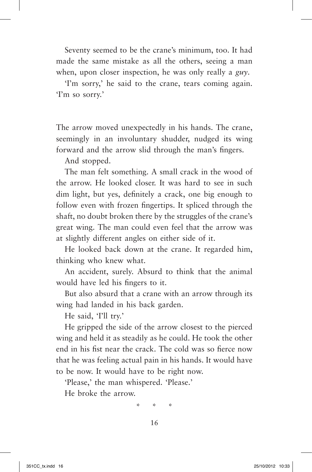Seventy seemed to be the crane's minimum, too. It had made the same mistake as all the others, seeing a man when, upon closer inspection, he was only really a *guy*.

'I'm sorry,' he said to the crane, tears coming again. 'I'm so sorry.'

The arrow moved unexpectedly in his hands. The crane, seemingly in an involuntary shudder, nudged its wing forward and the arrow slid through the man's fingers.

And stopped.

The man felt something. A small crack in the wood of the arrow. He looked closer. It was hard to see in such dim light, but yes, definitely a crack, one big enough to follow even with frozen fingertips. It spliced through the shaft, no doubt broken there by the struggles of the crane's great wing. The man could even feel that the arrow was at slightly different angles on either side of it.

He looked back down at the crane. It regarded him, thinking who knew what.

An accident, surely. Absurd to think that the animal would have led his fingers to it.

But also absurd that a crane with an arrow through its wing had landed in his back garden.

He said, 'I'll try.'

He gripped the side of the arrow closest to the pierced wing and held it as steadily as he could. He took the other end in his fist near the crack. The cold was so fierce now that he was feeling actual pain in his hands. It would have to be now. It would have to be right now.

'Please,' the man whispered. 'Please.'

He broke the arrow.

\* \* \*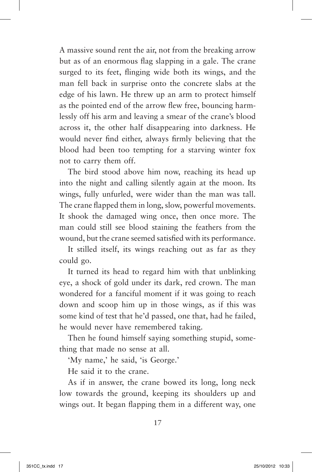A massive sound rent the air, not from the breaking arrow but as of an enormous flag slapping in a gale. The crane surged to its feet, flinging wide both its wings, and the man fell back in surprise onto the concrete slabs at the edge of his lawn. He threw up an arm to protect himself as the pointed end of the arrow flew free, bouncing harmlessly off his arm and leaving a smear of the crane's blood across it, the other half disappearing into darkness. He would never find either, always firmly believing that the blood had been too tempting for a starving winter fox not to carry them off.

The bird stood above him now, reaching its head up into the night and calling silently again at the moon. Its wings, fully unfurled, were wider than the man was tall. The crane flapped them in long, slow, powerful movements. It shook the damaged wing once, then once more. The man could still see blood staining the feathers from the wound, but the crane seemed satisfied with its performance.

It stilled itself, its wings reaching out as far as they could go.

It turned its head to regard him with that unblinking eye, a shock of gold under its dark, red crown. The man wondered for a fanciful moment if it was going to reach down and scoop him up in those wings, as if this was some kind of test that he'd passed, one that, had he failed, he would never have remembered taking.

Then he found himself saying something stupid, something that made no sense at all.

'My name,' he said, 'is George.'

He said it to the crane.

As if in answer, the crane bowed its long, long neck low towards the ground, keeping its shoulders up and wings out. It began flapping them in a different way, one